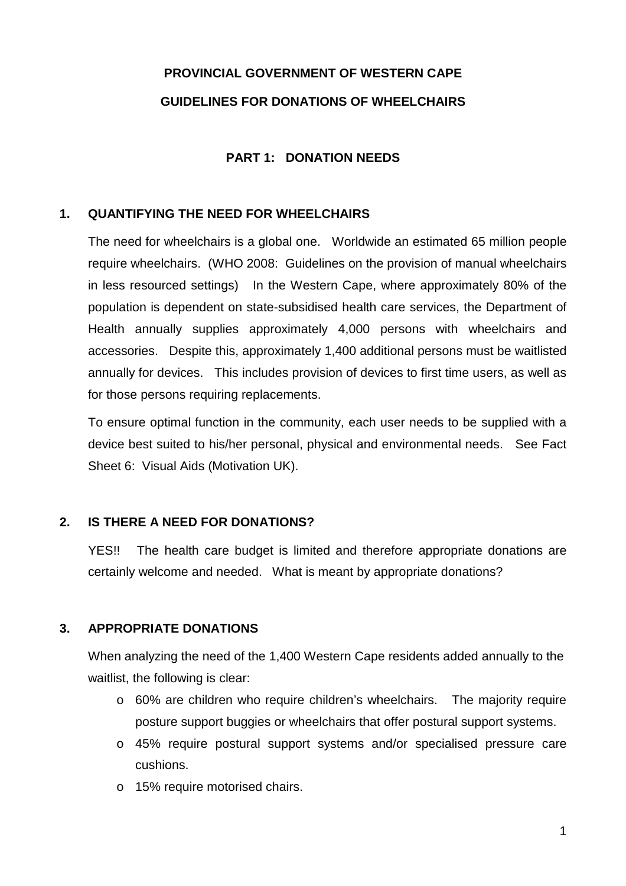# **PROVINCIAL GOVERNMENT OF WESTERN CAPE GUIDELINES FOR DONATIONS OF WHEELCHAIRS**

#### **PART 1: DONATION NEEDS**

#### **1. QUANTIFYING THE NEED FOR WHEELCHAIRS**

The need for wheelchairs is a global one. Worldwide an estimated 65 million people require wheelchairs. (WHO 2008: Guidelines on the provision of manual wheelchairs in less resourced settings) In the Western Cape, where approximately 80% of the population is dependent on state-subsidised health care services, the Department of Health annually supplies approximately 4,000 persons with wheelchairs and accessories. Despite this, approximately 1,400 additional persons must be waitlisted annually for devices. This includes provision of devices to first time users, as well as for those persons requiring replacements.

To ensure optimal function in the community, each user needs to be supplied with a device best suited to his/her personal, physical and environmental needs. See Fact Sheet 6: Visual Aids (Motivation UK).

#### **2. IS THERE A NEED FOR DONATIONS?**

YES!! The health care budget is limited and therefore appropriate donations are certainly welcome and needed. What is meant by appropriate donations?

# **3. APPROPRIATE DONATIONS**

When analyzing the need of the 1,400 Western Cape residents added annually to the waitlist, the following is clear:

- o 60% are children who require children's wheelchairs. The majority require posture support buggies or wheelchairs that offer postural support systems.
- o 45% require postural support systems and/or specialised pressure care cushions.
- o 15% require motorised chairs.